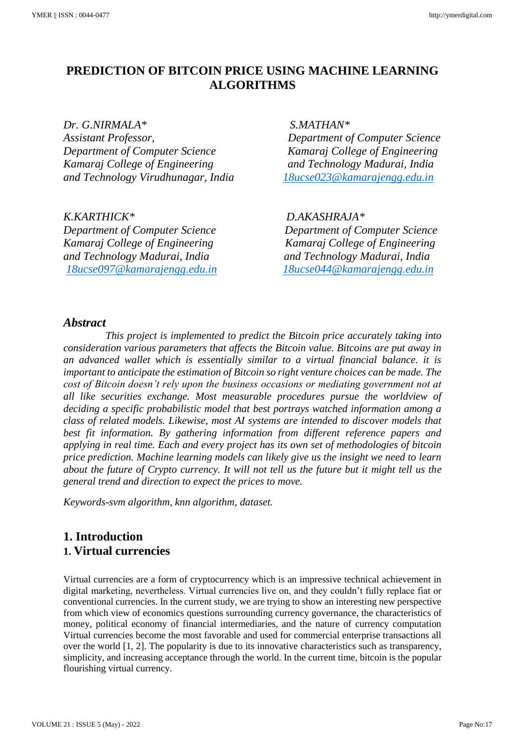# **PREDICTION OF BITCOIN PRICE USING MACHINE LEARNING ALGORITHMS**

*Dr. G.NIRMALA\* S.MATHAN\* Assistant Professor, Department of Computer Science Department of Computer Science* Kamaraj College of Engineering *Kamaraj College of Engineering and Technology Madurai, India and Technology Virudhunagar, India [18ucse023@kamarajengg.edu.in](mailto:18ucse023@kamarajengg.edu.in)*

*K.KARTHICK\* D.AKASHRAJA\* Department of Computer Science Department of Computer Science Kamaraj College of Engineering Kamaraj College of Engineering and Technology Madurai, India and Technology Madurai, India [18ucse097@kamarajengg.edu.in](mailto:18ucse097@kamarajengg.edu.in) [18ucse044@kamarajengg.edu.in](mailto:18ucse044@kamarajengg.edu.in)*

### *Abstract*

 *This project is implemented to predict the Bitcoin price accurately taking into consideration various parameters that affects the Bitcoin value. Bitcoins are put away in an advanced wallet which is essentially similar to a virtual financial balance. it is important to anticipate the estimation of Bitcoin so right venture choices can be made. The cost of Bitcoin doesn't rely upon the business occasions or mediating government not at all like securities exchange. Most measurable procedures pursue the worldview of deciding a specific probabilistic model that best portrays watched information among a class of related models. Likewise, most AI systems are intended to discover models that best fit information. By gathering information from different reference papers and applying in real time. Each and every project has its own set of methodologies of bitcoin price prediction. Machine learning models can likely give us the insight we need to learn about the future of Crypto currency. It will not tell us the future but it might tell us the general trend and direction to expect the prices to move.*

*Keywords-svm algorithm, knn algorithm, dataset.*

## **1. Introduction 1. Virtual currencies**

Virtual currencies are a form of cryptocurrency which is an impressive technical achievement in digital marketing, nevertheless. Virtual currencies live on, and they couldn't fully replace fiat or conventional currencies. In the current study, we are trying to show an interesting new perspective from which view of economics questions surrounding currency governance, the characteristics of money, political economy of financial intermediaries, and the nature of currency computation Virtual currencies become the most favorable and used for commercial enterprise transactions all over the world [1, 2]. The popularity is due to its innovative characteristics such as transparency, simplicity, and increasing acceptance through the world. In the current time, bitcoin is the popular flourishing virtual currency.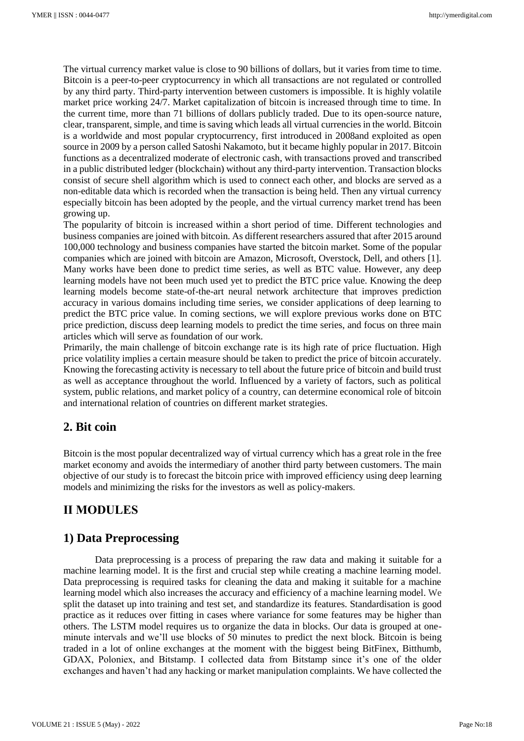The virtual currency market value is close to 90 billions of dollars, but it varies from time to time. Bitcoin is a peer-to-peer cryptocurrency in which all transactions are not regulated or controlled by any third party. Third-party intervention between customers is impossible. It is highly volatile market price working 24/7. Market capitalization of bitcoin is increased through time to time. In the current time, more than 71 billions of dollars publicly traded. Due to its open-source nature, clear, transparent, simple, and time is saving which leads all virtual currencies in the world. Bitcoin is a worldwide and most popular cryptocurrency, first introduced in 2008and exploited as open source in 2009 by a person called Satoshi Nakamoto, but it became highly popular in 2017. Bitcoin functions as a decentralized moderate of electronic cash, with transactions proved and transcribed in a public distributed ledger (blockchain) without any third-party intervention. Transaction blocks consist of secure shell algorithm which is used to connect each other, and blocks are served as a non-editable data which is recorded when the transaction is being held. Then any virtual currency especially bitcoin has been adopted by the people, and the virtual currency market trend has been growing up.

The popularity of bitcoin is increased within a short period of time. Different technologies and business companies are joined with bitcoin. As different researchers assured that after 2015 around 100,000 technology and business companies have started the bitcoin market. Some of the popular companies which are joined with bitcoin are Amazon, Microsoft, Overstock, Dell, and others [1]. Many works have been done to predict time series, as well as BTC value. However, any deep learning models have not been much used yet to predict the BTC price value. Knowing the deep learning models become state-of-the-art neural network architecture that improves prediction accuracy in various domains including time series, we consider applications of deep learning to predict the BTC price value. In coming sections, we will explore previous works done on BTC price prediction, discuss deep learning models to predict the time series, and focus on three main articles which will serve as foundation of our work.

Primarily, the main challenge of bitcoin exchange rate is its high rate of price fluctuation. High price volatility implies a certain measure should be taken to predict the price of bitcoin accurately. Knowing the forecasting activity is necessary to tell about the future price of bitcoin and build trust as well as acceptance throughout the world. Influenced by a variety of factors, such as political system, public relations, and market policy of a country, can determine economical role of bitcoin and international relation of countries on different market strategies.

#### **2. Bit coin**

Bitcoin is the most popular decentralized way of virtual currency which has a great role in the free market economy and avoids the intermediary of another third party between customers. The main objective of our study is to forecast the bitcoin price with improved efficiency using deep learning models and minimizing the risks for the investors as well as policy-makers.

# **Ⅱ MODULES**

### **1) Data Preprocessing**

Data preprocessing is a process of preparing the raw data and making it suitable for a machine learning model. It is the first and crucial step while creating a machine learning model. Data preprocessing is required tasks for cleaning the data and making it suitable for a machine learning model which also increases the accuracy and efficiency of a machine learning model. We split the dataset up into training and test set, and standardize its features. Standardisation is good practice as it reduces over fitting in cases where variance for some features may be higher than others. The LSTM model requires us to organize the data in blocks. Our data is grouped at oneminute intervals and we'll use blocks of 50 minutes to predict the next block. Bitcoin is being traded in a lot of online exchanges at the moment with the biggest being BitFinex, Bitthumb, GDAX, Poloniex, and Bitstamp. I collected data from Bitstamp since it's one of the older exchanges and haven't had any hacking or market manipulation complaints. We have collected the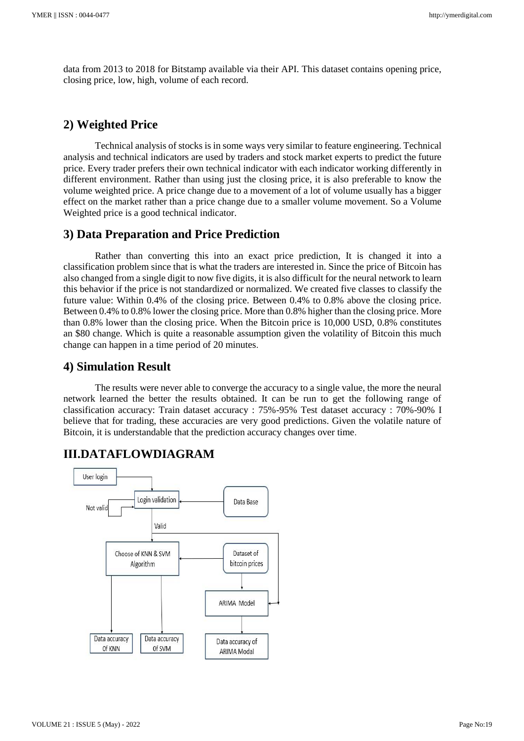data from 2013 to 2018 for Bitstamp available via their API. This dataset contains opening price, closing price, low, high, volume of each record.

## **2) Weighted Price**

Technical analysis of stocks is in some ways very similar to feature engineering. Technical analysis and technical indicators are used by traders and stock market experts to predict the future price. Every trader prefers their own technical indicator with each indicator working differently in different environment. Rather than using just the closing price, it is also preferable to know the volume weighted price. A price change due to a movement of a lot of volume usually has a bigger effect on the market rather than a price change due to a smaller volume movement. So a Volume Weighted price is a good technical indicator.

## **3) Data Preparation and Price Prediction**

Rather than converting this into an exact price prediction, It is changed it into a classification problem since that is what the traders are interested in. Since the price of Bitcoin has also changed from a single digit to now five digits, it is also difficult for the neural network to learn this behavior if the price is not standardized or normalized. We created five classes to classify the future value: Within 0.4% of the closing price. Between 0.4% to 0.8% above the closing price. Between 0.4% to 0.8% lower the closing price. More than 0.8% higher than the closing price. More than 0.8% lower than the closing price. When the Bitcoin price is 10,000 USD, 0.8% constitutes an \$80 change. Which is quite a reasonable assumption given the volatility of Bitcoin this much change can happen in a time period of 20 minutes.

#### **4) Simulation Result**

The results were never able to converge the accuracy to a single value, the more the neural network learned the better the results obtained. It can be run to get the following range of classification accuracy: Train dataset accuracy : 75%-95% Test dataset accuracy : 70%-90% I believe that for trading, these accuracies are very good predictions. Given the volatile nature of Bitcoin, it is understandable that the prediction accuracy changes over time.

# **Ⅲ.DATAFLOWDIAGRAM**

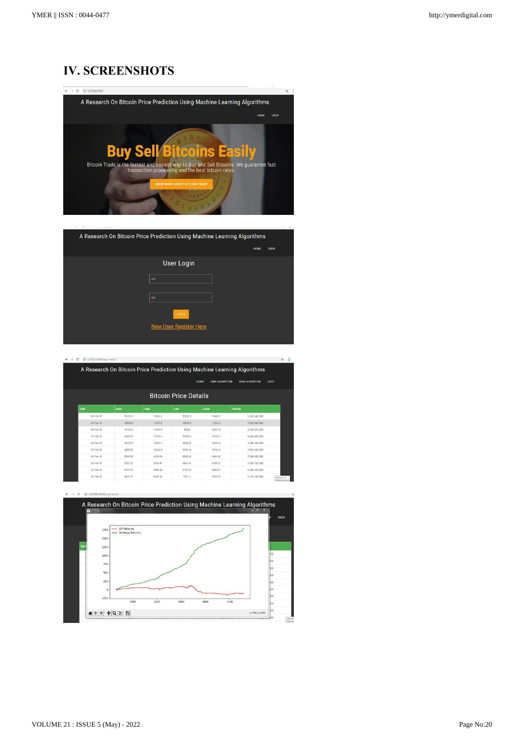# **Ⅳ. SCREENSHOTS**





| ₩<br>С<br>127.0.0.1:8000/user home/<br>$\omega$ |         |         |                              |                              |                                                                                                          | ☆          |  |
|-------------------------------------------------|---------|---------|------------------------------|------------------------------|----------------------------------------------------------------------------------------------------------|------------|--|
|                                                 |         |         |                              | HOME<br><b>KNN ALGORITHM</b> | A Research On Bitcoin Price Prediction Using Machine Learning Algorithms<br>USER<br><b>SVM ALGORITHM</b> |            |  |
|                                                 |         |         | <b>Bitcoin Price Details</b> |                              |                                                                                                          |            |  |
| Date                                            | Open    | High    | Low                          | Close                        | Volume                                                                                                   |            |  |
| 20-Feb-18                                       | 11231.8 | 11958.5 | 11231.8                      | 11403.7                      | 9.926.540.000                                                                                            |            |  |
| 19-Feb-18                                       | 10552.6 | 11273.8 | 105132                       | 11225.3                      | 7.652.090.000                                                                                            |            |  |
| 18-Feb-18                                       | 11123.4 | 11349.8 | 10326                        | 10551.8                      | 8.744.010.000                                                                                            |            |  |
| 17-Feb-18                                       | 10207.5 | 11139.5 | 10149.4                      | 11112.7                      | 8.660.880.000                                                                                            |            |  |
| 16-Feb-18                                       | 10135.7 | 10324.1 | 9824.82                      | 10233.9                      | 7.296.160.000                                                                                            |            |  |
| 15-Feb-18                                       | 9488.32 | 10234.8 | 9395.58                      | 10166.4                      | 9.062.540.000                                                                                            |            |  |
| 14-Feb-18                                       | 8599.92 | 9518.54 | 8599.92                      | 9494.63                      | 7,909,820,000                                                                                            |            |  |
| 13-Feb-18                                       | 8926.72 | 8958.47 | 8455.41                      | 8598.31                      | 5.696.720.000                                                                                            |            |  |
| 12-Feb-18                                       | 8141.43 | 8985.92 | 8141.43                      | 8926.57                      | 6.256.440.000                                                                                            |            |  |
| 11-Feb-18                                       | 8616.13 | 8616.13 | 7931.1                       | 8129.97                      | 6.122.190.000                                                                                            | Network 67 |  |